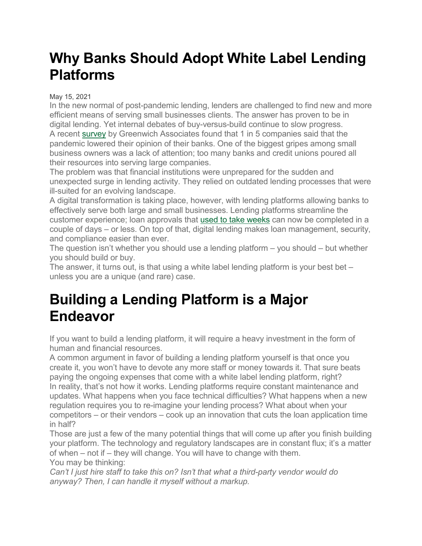## **Why Banks Should Adopt White Label Lending Platforms**

#### May 15, 2021

In the new normal of post-pandemic lending, lenders are challenged to find new and more efficient means of serving small businesses clients. The answer has proven to be in digital lending. Yet internal debates of buy-versus-build continue to slow progress. A recent [survey](https://www.greenwich.com/press-release/us-small-businesses-pass-judgment-banks%E2%80%99-performance-during-covid-19-crisis) by Greenwich Associates found that 1 in 5 companies said that the pandemic lowered their opinion of their banks. One of the biggest gripes among small business owners was a lack of attention; too many banks and credit unions poured all their resources into serving large companies.

The problem was that financial institutions were unprepared for the sudden and unexpected surge in lending activity. They relied on outdated lending processes that were ill-suited for an evolving landscape.

A digital transformation is taking place, however, with lending platforms allowing banks to effectively serve both large and small businesses. Lending platforms streamline the customer experience; loan approvals that used to take [weeks](https://www.mckinsey.com/business-functions/risk/our-insights/the-future-of-risk-management-in-the-digital-era) can now be completed in a couple of days – or less. On top of that, digital lending makes loan management, security, and compliance easier than ever.

The question isn't whether you should use a lending platform – you should – but whether you should build or buy.

The answer, it turns out, is that using a white label lending platform is your best bet  $$ unless you are a unique (and rare) case.

### **Building a Lending Platform is a Major Endeavor**

If you want to build a lending platform, it will require a heavy investment in the form of human and financial resources.

A common argument in favor of building a lending platform yourself is that once you create it, you won't have to devote any more staff or money towards it. That sure beats paying the ongoing expenses that come with a white label lending platform, right? In reality, that's not how it works. Lending platforms require constant maintenance and updates. What happens when you face technical difficulties? What happens when a new regulation requires you to re-imagine your lending process? What about when your competitors – or their vendors – cook up an innovation that cuts the loan application time in half?

Those are just a few of the many potential things that will come up after you finish building your platform. The technology and regulatory landscapes are in constant flux; it's a matter of when – not if – they will change. You will have to change with them. You may be thinking:

*Can't I just hire staff to take this on? Isn't that what a third-party vendor would do anyway? Then, I can handle it myself without a markup.*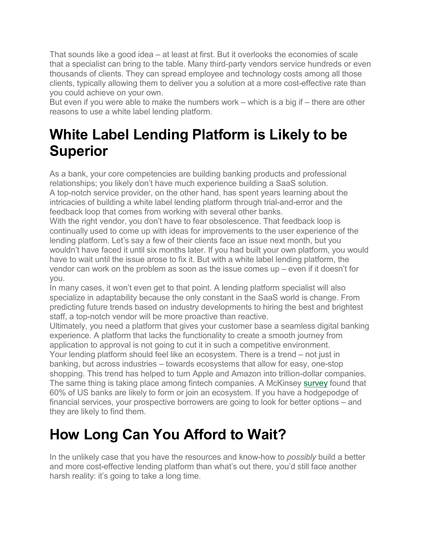That sounds like a good idea – at least at first. But it overlooks the economies of scale that a specialist can bring to the table. Many third-party vendors service hundreds or even thousands of clients. They can spread employee and technology costs among all those clients, typically allowing them to deliver you a solution at a more cost-effective rate than you could achieve on your own.

But even if you were able to make the numbers work – which is a big if – there are other reasons to use a white label lending platform.

## **White Label Lending Platform is Likely to be Superior**

As a bank, your core competencies are building banking products and professional relationships; you likely don't have much experience building a SaaS solution. A top-notch service provider, on the other hand, has spent years learning about the intricacies of building a white label lending platform through trial-and-error and the feedback loop that comes from working with several other banks.

With the right vendor, you don't have to fear obsolescence. That feedback loop is continually used to come up with ideas for improvements to the user experience of the lending platform. Let's say a few of their clients face an issue next month, but you wouldn't have faced it until six months later. If you had built your own platform, you would have to wait until the issue arose to fix it. But with a white label lending platform, the vendor can work on the problem as soon as the issue comes up – even if it doesn't for you.

In many cases, it won't even get to that point. A lending platform specialist will also specialize in adaptability because the only constant in the SaaS world is change. From predicting future trends based on industry developments to hiring the best and brightest staff, a top-notch vendor will be more proactive than reactive.

Ultimately, you need a platform that gives your customer base a seamless digital banking experience. A platform that lacks the functionality to create a smooth journey from application to approval is not going to cut it in such a competitive environment. Your lending platform should feel like an ecosystem. There is a trend – not just in banking, but across industries – towards ecosystems that allow for easy, one-stop shopping. This trend has helped to turn Apple and Amazon into trillion-dollar companies. The same thing is taking place among fintech companies. A McKinsey [survey](https://www.mckinsey.com/business-functions/mckinsey-digital/our-insights/ecosystem-2-point-0-climbing-to-the-next-level) found that 60% of US banks are likely to form or join an ecosystem. If you have a hodgepodge of financial services, your prospective borrowers are going to look for better options – and they are likely to find them.

## **How Long Can You Afford to Wait?**

In the unlikely case that you have the resources and know-how to *possibly* build a better and more cost-effective lending platform than what's out there, you'd still face another harsh reality: it's going to take a long time.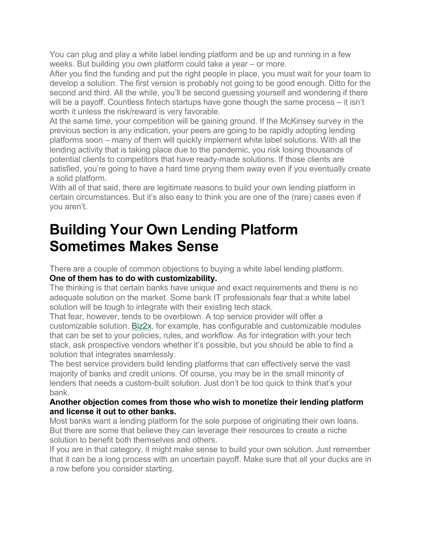You can plug and play a white label lending platform and be up and running in a few weeks. But building you own platform could take a year – or more.

After you find the funding and put the right people in place, you must wait for your team to develop a solution. The first version is probably not going to be good enough. Ditto for the second and third. All the while, you'll be second guessing yourself and wondering if there will be a payoff. Countless fintech startups have gone though the same process – it isn't worth it unless the risk/reward is very favorable.

At the same time, your competition will be gaining ground. If the McKinsey survey in the previous section is any indication, your peers are going to be rapidly adopting lending platforms soon – many of them will quickly implement white label solutions. With all the lending activity that is taking place due to the pandemic, you risk losing thousands of potential clients to competitors that have ready-made solutions. If those clients are satisfied, you're going to have a hard time prying them away even if you eventually create a solid platform.

With all of that said, there are legitimate reasons to build your own lending platform in certain circumstances. But it's also easy to think you are one of the (rare) cases even if you aren't.

### **Building Your Own Lending Platform Sometimes Makes Sense**

There are a couple of common objections to buying a white label lending platform. **One of them has to do with customizability.**

The thinking is that certain banks have unique and exact requirements and there is no adequate solution on the market. Some bank IT professionals fear that a white label solution will be tough to integrate with their existing tech stack.

That fear, however, tends to be overblown. A top service provider will offer a customizable solution. [Biz2x,](https://www.biz2x.com/) for example, has configurable and customizable modules that can be set to your policies, rules, and workflow. As for integration with your tech stack, ask prospective vendors whether it's possible, but you should be able to find a solution that integrates seamlessly.

The best service providers build lending platforms that can effectively serve the vast majority of banks and credit unions. Of course, you may be in the small minority of lenders that needs a custom-built solution. Just don't be too quick to think that's your bank.

#### **Another objection comes from those who wish to monetize their lending platform and license it out to other banks.**

Most banks want a lending platform for the sole purpose of originating their own loans. But there are some that believe they can leverage their resources to create a niche solution to benefit both themselves and others.

If you are in that category, it might make sense to build your own solution. Just remember that it can be a long process with an uncertain payoff. Make sure that all your ducks are in a row before you consider starting.